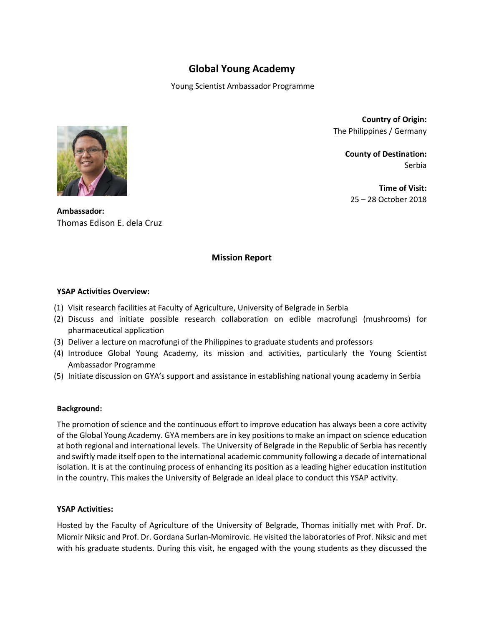# **Global Young Academy**

Young Scientist Ambassador Programme



**Country of Origin:**  The Philippines / Germany

> **County of Destination:**  Serbia

**Time of Visit:**  25 – 28 October 2018

**Ambassador:** Thomas Edison E. dela Cruz

## **Mission Report**

### **YSAP Activities Overview:**

- (1) Visit research facilities at Faculty of Agriculture, University of Belgrade in Serbia
- (2) Discuss and initiate possible research collaboration on edible macrofungi (mushrooms) for pharmaceutical application
- (3) Deliver a lecture on macrofungi of the Philippines to graduate students and professors
- (4) Introduce Global Young Academy, its mission and activities, particularly the Young Scientist Ambassador Programme
- (5) Initiate discussion on GYA's support and assistance in establishing national young academy in Serbia

#### **Background:**

The promotion of science and the continuous effort to improve education has always been a core activity of the Global Young Academy. GYA members are in key positions to make an impact on science education at both regional and international levels. The University of Belgrade in the Republic of Serbia has recently and swiftly made itself open to the international academic community following a decade of international isolation. It is at the continuing process of enhancing its position as a leading higher education institution in the country. This makes the University of Belgrade an ideal place to conduct this YSAP activity.

## **YSAP Activities:**

Hosted by the Faculty of Agriculture of the University of Belgrade, Thomas initially met with Prof. Dr. Miomir Niksic and Prof. Dr. Gordana Surlan-Momirovic. He visited the laboratories of Prof. Niksic and met with his graduate students. During this visit, he engaged with the young students as they discussed the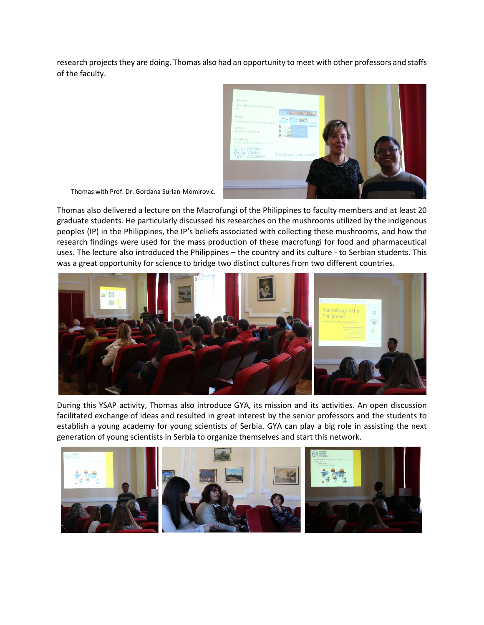research projects they are doing. Thomas also had an opportunity to meet with other professors and staffs of the faculty.



Thomas with Prof. Dr. Gordana Surlan-Momirovic.

Thomas also delivered a lecture on the Macrofungi of the Philippines to faculty members and at least 20 graduate students. He particularly discussed his researches on the mushrooms utilized by the indigenous peoples (IP) in the Philippines, the IP's beliefs associated with collecting these mushrooms, and how the research findings were used for the mass production of these macrofungi for food and pharmaceutical uses. The lecture also introduced the Philippines – the country and its culture - to Serbian students. This was a great opportunity for science to bridge two distinct cultures from two different countries.



During this YSAP activity, Thomas also introduce GYA, its mission and its activities. An open discussion facilitated exchange of ideas and resulted in great interest by the senior professors and the students to establish a young academy for young scientists of Serbia. GYA can play a big role in assisting the next generation of young scientists in Serbia to organize themselves and start this network.